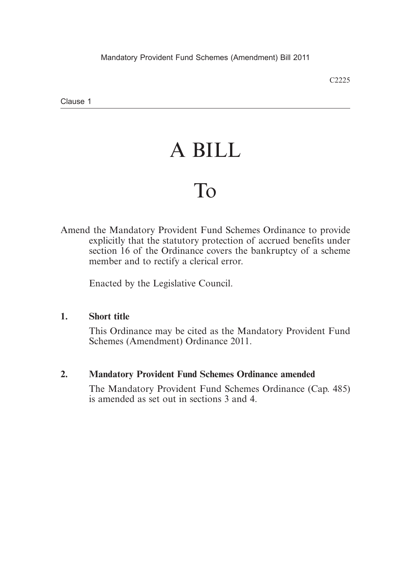Clause 1

# A BILL

# To

Amend the Mandatory Provident Fund Schemes Ordinance to provide explicitly that the statutory protection of accrued benefits under section 16 of the Ordinance covers the bankruptcy of a scheme member and to rectify a clerical error.

Enacted by the Legislative Council.

#### **1. Short title**

This Ordinance may be cited as the Mandatory Provident Fund Schemes (Amendment) Ordinance 2011.

#### **2. Mandatory Provident Fund Schemes Ordinance amended**

The Mandatory Provident Fund Schemes Ordinance (Cap. 485) is amended as set out in sections 3 and 4.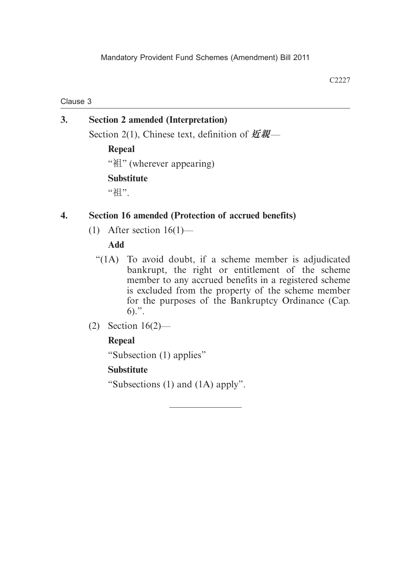Clause 3

**3. Section 2 amended (Interpretation)** Section 2(1), Chinese text, definition of **近親**— **Repeal**

"袓" (wherever appearing)

## **Substitute**

"祖".

# **4. Section 16 amended (Protection of accrued benefits)**

(1) After section 16(1)—

## **Add**

- "(1A) To avoid doubt, if a scheme member is adjudicated bankrupt, the right or entitlement of the scheme member to any accrued benefits in a registered scheme is excluded from the property of the scheme member for the purposes of the Bankruptcy Ordinance (Cap. 6).".
- (2) Section 16(2)—

# **Repeal**

"Subsection (1) applies"

# **Substitute**

"Subsections (1) and (1A) apply".

C2227